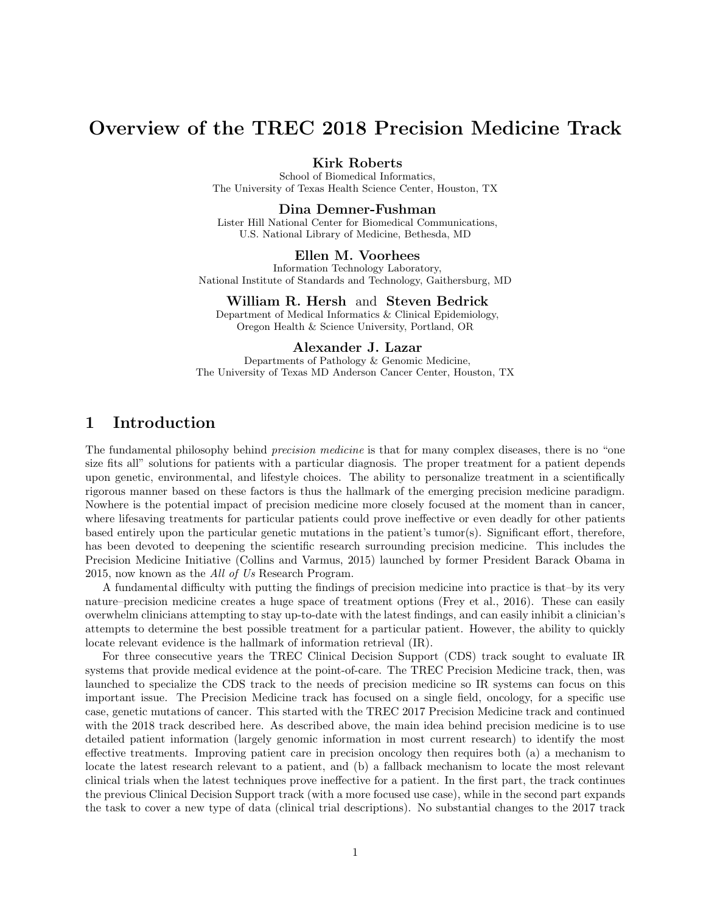# Overview of the TREC 2018 Precision Medicine Track

Kirk Roberts

School of Biomedical Informatics, The University of Texas Health Science Center, Houston, TX

#### Dina Demner-Fushman

Lister Hill National Center for Biomedical Communications, U.S. National Library of Medicine, Bethesda, MD

#### Ellen M. Voorhees

Information Technology Laboratory, National Institute of Standards and Technology, Gaithersburg, MD

#### William R. Hersh and Steven Bedrick

Department of Medical Informatics & Clinical Epidemiology, Oregon Health & Science University, Portland, OR

#### Alexander J. Lazar

Departments of Pathology & Genomic Medicine, The University of Texas MD Anderson Cancer Center, Houston, TX

### 1 Introduction

The fundamental philosophy behind *precision medicine* is that for many complex diseases, there is no "one size fits all" solutions for patients with a particular diagnosis. The proper treatment for a patient depends upon genetic, environmental, and lifestyle choices. The ability to personalize treatment in a scientifically rigorous manner based on these factors is thus the hallmark of the emerging precision medicine paradigm. Nowhere is the potential impact of precision medicine more closely focused at the moment than in cancer, where lifesaving treatments for particular patients could prove ineffective or even deadly for other patients based entirely upon the particular genetic mutations in the patient's tumor(s). Significant effort, therefore, has been devoted to deepening the scientific research surrounding precision medicine. This includes the Precision Medicine Initiative (Collins and Varmus, 2015) launched by former President Barack Obama in 2015, now known as the All of Us Research Program.

A fundamental difficulty with putting the findings of precision medicine into practice is that–by its very nature–precision medicine creates a huge space of treatment options (Frey et al., 2016). These can easily overwhelm clinicians attempting to stay up-to-date with the latest findings, and can easily inhibit a clinician's attempts to determine the best possible treatment for a particular patient. However, the ability to quickly locate relevant evidence is the hallmark of information retrieval (IR).

For three consecutive years the TREC Clinical Decision Support (CDS) track sought to evaluate IR systems that provide medical evidence at the point-of-care. The TREC Precision Medicine track, then, was launched to specialize the CDS track to the needs of precision medicine so IR systems can focus on this important issue. The Precision Medicine track has focused on a single field, oncology, for a specific use case, genetic mutations of cancer. This started with the TREC 2017 Precision Medicine track and continued with the 2018 track described here. As described above, the main idea behind precision medicine is to use detailed patient information (largely genomic information in most current research) to identify the most effective treatments. Improving patient care in precision oncology then requires both (a) a mechanism to locate the latest research relevant to a patient, and (b) a fallback mechanism to locate the most relevant clinical trials when the latest techniques prove ineffective for a patient. In the first part, the track continues the previous Clinical Decision Support track (with a more focused use case), while in the second part expands the task to cover a new type of data (clinical trial descriptions). No substantial changes to the 2017 track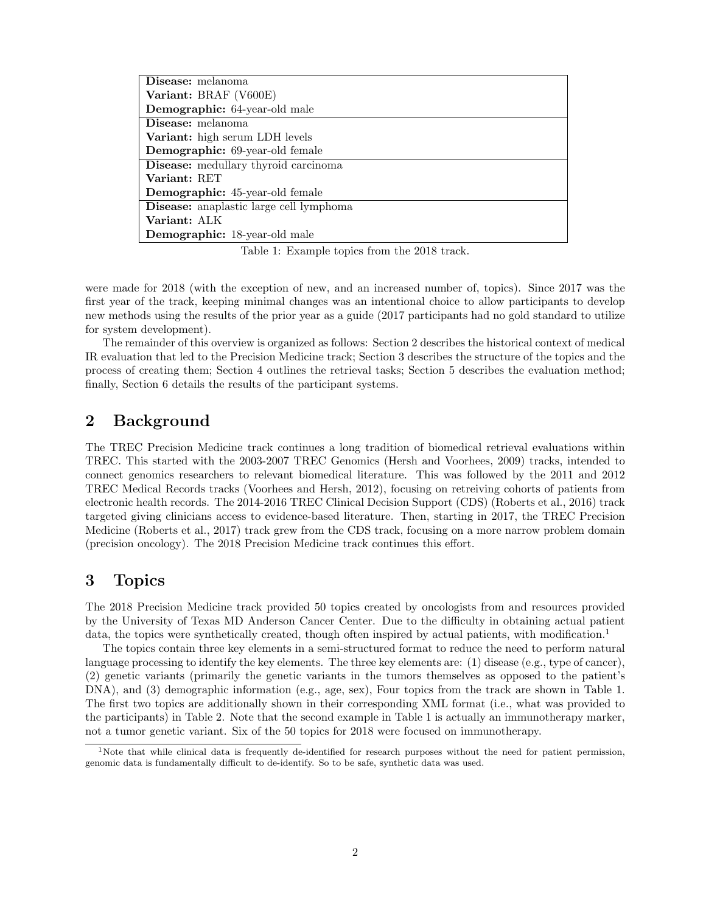| Disease: melanoma                              |
|------------------------------------------------|
| Variant: BRAF (V600E)                          |
| <b>Demographic:</b> 64-year-old male           |
| Disease: melanoma                              |
| Variant: high serum LDH levels                 |
| <b>Demographic:</b> 69-year-old female         |
| Disease: medullary thyroid carcinoma           |
| Variant: RET                                   |
| <b>Demographic:</b> 45-year-old female         |
| <b>Disease:</b> anaplastic large cell lymphoma |
| Variant: ALK                                   |
| Demographic: 18-year-old male                  |

Table 1: Example topics from the 2018 track.

were made for 2018 (with the exception of new, and an increased number of, topics). Since 2017 was the first year of the track, keeping minimal changes was an intentional choice to allow participants to develop new methods using the results of the prior year as a guide (2017 participants had no gold standard to utilize for system development).

The remainder of this overview is organized as follows: Section 2 describes the historical context of medical IR evaluation that led to the Precision Medicine track; Section 3 describes the structure of the topics and the process of creating them; Section 4 outlines the retrieval tasks; Section 5 describes the evaluation method; finally, Section 6 details the results of the participant systems.

## 2 Background

The TREC Precision Medicine track continues a long tradition of biomedical retrieval evaluations within TREC. This started with the 2003-2007 TREC Genomics (Hersh and Voorhees, 2009) tracks, intended to connect genomics researchers to relevant biomedical literature. This was followed by the 2011 and 2012 TREC Medical Records tracks (Voorhees and Hersh, 2012), focusing on retreiving cohorts of patients from electronic health records. The 2014-2016 TREC Clinical Decision Support (CDS) (Roberts et al., 2016) track targeted giving clinicians access to evidence-based literature. Then, starting in 2017, the TREC Precision Medicine (Roberts et al., 2017) track grew from the CDS track, focusing on a more narrow problem domain (precision oncology). The 2018 Precision Medicine track continues this effort.

## 3 Topics

The 2018 Precision Medicine track provided 50 topics created by oncologists from and resources provided by the University of Texas MD Anderson Cancer Center. Due to the difficulty in obtaining actual patient data, the topics were synthetically created, though often inspired by actual patients, with modification.<sup>1</sup>

The topics contain three key elements in a semi-structured format to reduce the need to perform natural language processing to identify the key elements. The three key elements are: (1) disease (e.g., type of cancer), (2) genetic variants (primarily the genetic variants in the tumors themselves as opposed to the patient's DNA), and (3) demographic information (e.g., age, sex), Four topics from the track are shown in Table 1. The first two topics are additionally shown in their corresponding XML format (i.e., what was provided to the participants) in Table 2. Note that the second example in Table 1 is actually an immunotherapy marker, not a tumor genetic variant. Six of the 50 topics for 2018 were focused on immunotherapy.

<sup>&</sup>lt;sup>1</sup>Note that while clinical data is frequently de-identified for research purposes without the need for patient permission, genomic data is fundamentally difficult to de-identify. So to be safe, synthetic data was used.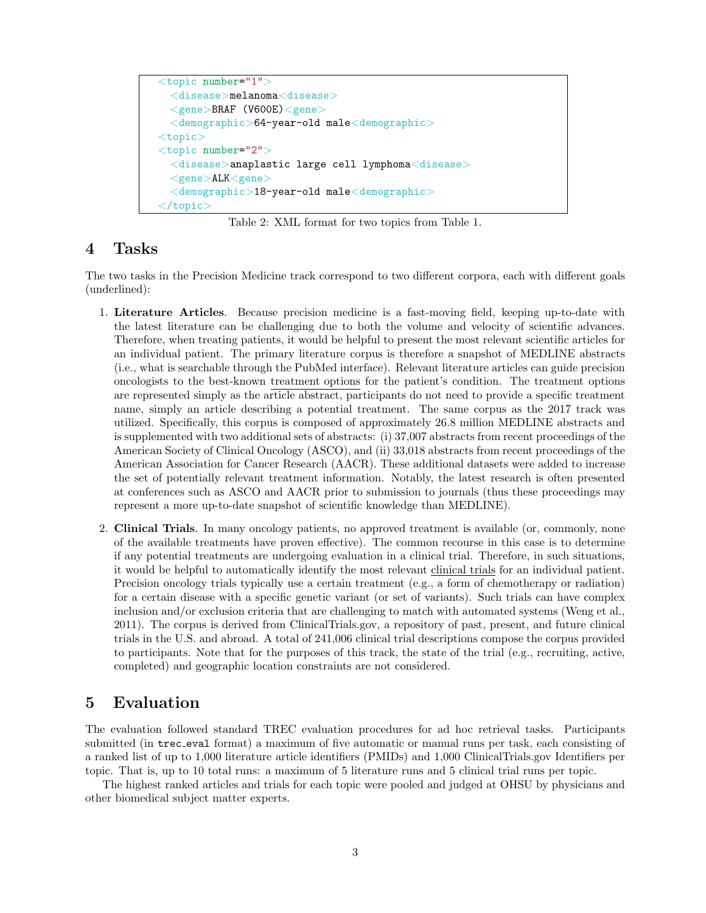```
<topic number="1">
  <disease>melanoma<disease>
  \langlegene>BRAF (V600E)\langlegene><demographic>64-year-old male<demographic>
<topic><topic number="2">
  <disease>anaplastic large cell lymphoma<disease>
  <gene>ALK<gene>
  <demographic>18-year-old male<demographic>
\mathopen{<(}topic\mathclose{>}
```
Table 2: XML format for two topics from Table 1.

### 4 Tasks

The two tasks in the Precision Medicine track correspond to two different corpora, each with different goals (underlined):

- 1. Literature Articles. Because precision medicine is a fast-moving field, keeping up-to-date with the latest literature can be challenging due to both the volume and velocity of scientific advances. Therefore, when treating patients, it would be helpful to present the most relevant scientific articles for an individual patient. The primary literature corpus is therefore a snapshot of MEDLINE abstracts (i.e., what is searchable through the PubMed interface). Relevant literature articles can guide precision oncologists to the best-known treatment options for the patient's condition. The treatment options are represented simply as the article abstract, participants do not need to provide a specific treatment name, simply an article describing a potential treatment. The same corpus as the 2017 track was utilized. Specifically, this corpus is composed of approximately 26.8 million MEDLINE abstracts and is supplemented with two additional sets of abstracts: (i) 37,007 abstracts from recent proceedings of the American Society of Clinical Oncology (ASCO), and (ii) 33,018 abstracts from recent proceedings of the American Association for Cancer Research (AACR). These additional datasets were added to increase the set of potentially relevant treatment information. Notably, the latest research is often presented at conferences such as ASCO and AACR prior to submission to journals (thus these proceedings may represent a more up-to-date snapshot of scientific knowledge than MEDLINE).
- 2. Clinical Trials. In many oncology patients, no approved treatment is available (or, commonly, none of the available treatments have proven effective). The common recourse in this case is to determine if any potential treatments are undergoing evaluation in a clinical trial. Therefore, in such situations, it would be helpful to automatically identify the most relevant clinical trials for an individual patient. Precision oncology trials typically use a certain treatment (e.g., a form of chemotherapy or radiation) for a certain disease with a specific genetic variant (or set of variants). Such trials can have complex inclusion and/or exclusion criteria that are challenging to match with automated systems (Weng et al., 2011). The corpus is derived from ClinicalTrials.gov, a repository of past, present, and future clinical trials in the U.S. and abroad. A total of 241,006 clinical trial descriptions compose the corpus provided to participants. Note that for the purposes of this track, the state of the trial (e.g., recruiting, active, completed) and geographic location constraints are not considered.

## 5 Evaluation

The evaluation followed standard TREC evaluation procedures for ad hoc retrieval tasks. Participants submitted (in trec eval format) a maximum of five automatic or manual runs per task, each consisting of a ranked list of up to 1,000 literature article identifiers (PMIDs) and 1,000 ClinicalTrials.gov Identifiers per topic. That is, up to 10 total runs: a maximum of 5 literature runs and 5 clinical trial runs per topic.

The highest ranked articles and trials for each topic were pooled and judged at OHSU by physicians and other biomedical subject matter experts.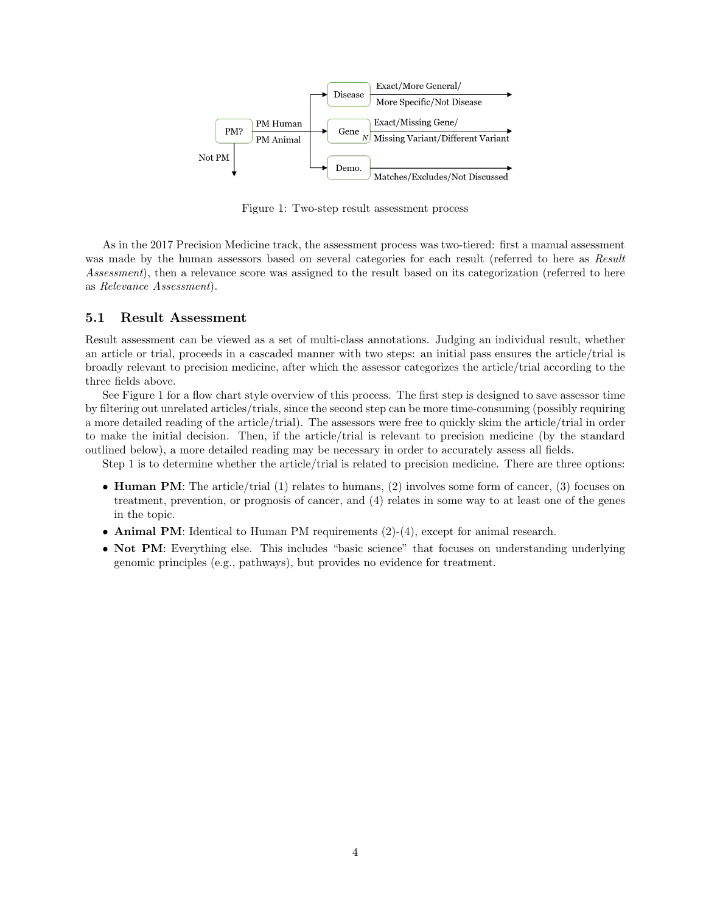

Figure 1: Two-step result assessment process

As in the 2017 Precision Medicine track, the assessment process was two-tiered: first a manual assessment was made by the human assessors based on several categories for each result (referred to here as Result Assessment), then a relevance score was assigned to the result based on its categorization (referred to here as Relevance Assessment).

#### 5.1 Result Assessment

Result assessment can be viewed as a set of multi-class annotations. Judging an individual result, whether an article or trial, proceeds in a cascaded manner with two steps: an initial pass ensures the article/trial is broadly relevant to precision medicine, after which the assessor categorizes the article/trial according to the three fields above.

See Figure 1 for a flow chart style overview of this process. The first step is designed to save assessor time by filtering out unrelated articles/trials, since the second step can be more time-consuming (possibly requiring a more detailed reading of the article/trial). The assessors were free to quickly skim the article/trial in order to make the initial decision. Then, if the article/trial is relevant to precision medicine (by the standard outlined below), a more detailed reading may be necessary in order to accurately assess all fields.

Step 1 is to determine whether the article/trial is related to precision medicine. There are three options:

- Human PM: The article/trial (1) relates to humans, (2) involves some form of cancer, (3) focuses on treatment, prevention, or prognosis of cancer, and (4) relates in some way to at least one of the genes in the topic.
- Animal PM: Identical to Human PM requirements (2)-(4), except for animal research.
- Not PM: Everything else. This includes "basic science" that focuses on understanding underlying genomic principles (e.g., pathways), but provides no evidence for treatment.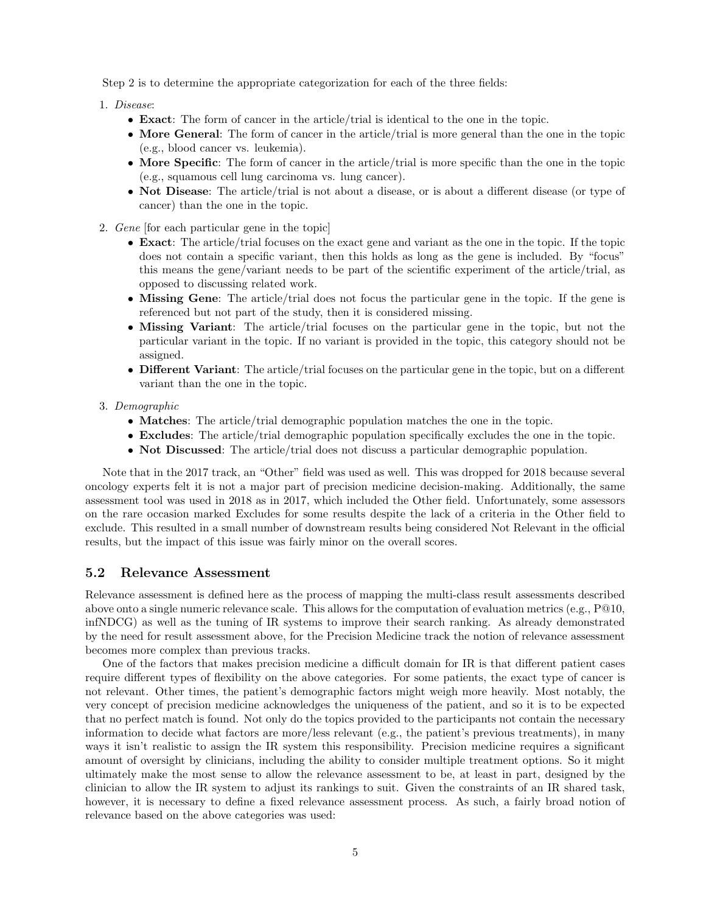Step 2 is to determine the appropriate categorization for each of the three fields:

- 1. Disease:
	- Exact: The form of cancer in the article/trial is identical to the one in the topic.
	- More General: The form of cancer in the article/trial is more general than the one in the topic (e.g., blood cancer vs. leukemia).
	- More Specific: The form of cancer in the article/trial is more specific than the one in the topic (e.g., squamous cell lung carcinoma vs. lung cancer).
	- Not Disease: The article/trial is not about a disease, or is about a different disease (or type of cancer) than the one in the topic.
- 2. Gene [for each particular gene in the topic]
	- Exact: The article/trial focuses on the exact gene and variant as the one in the topic. If the topic does not contain a specific variant, then this holds as long as the gene is included. By "focus" this means the gene/variant needs to be part of the scientific experiment of the article/trial, as opposed to discussing related work.
	- Missing Gene: The article/trial does not focus the particular gene in the topic. If the gene is referenced but not part of the study, then it is considered missing.
	- Missing Variant: The article/trial focuses on the particular gene in the topic, but not the particular variant in the topic. If no variant is provided in the topic, this category should not be assigned.
	- Different Variant: The article/trial focuses on the particular gene in the topic, but on a different variant than the one in the topic.
- 3. Demographic
	- Matches: The article/trial demographic population matches the one in the topic.
	- Excludes: The article/trial demographic population specifically excludes the one in the topic.
	- Not Discussed: The article/trial does not discuss a particular demographic population.

Note that in the 2017 track, an "Other" field was used as well. This was dropped for 2018 because several oncology experts felt it is not a major part of precision medicine decision-making. Additionally, the same assessment tool was used in 2018 as in 2017, which included the Other field. Unfortunately, some assessors on the rare occasion marked Excludes for some results despite the lack of a criteria in the Other field to exclude. This resulted in a small number of downstream results being considered Not Relevant in the official results, but the impact of this issue was fairly minor on the overall scores.

#### 5.2 Relevance Assessment

Relevance assessment is defined here as the process of mapping the multi-class result assessments described above onto a single numeric relevance scale. This allows for the computation of evaluation metrics (e.g., P@10, infNDCG) as well as the tuning of IR systems to improve their search ranking. As already demonstrated by the need for result assessment above, for the Precision Medicine track the notion of relevance assessment becomes more complex than previous tracks.

One of the factors that makes precision medicine a difficult domain for IR is that different patient cases require different types of flexibility on the above categories. For some patients, the exact type of cancer is not relevant. Other times, the patient's demographic factors might weigh more heavily. Most notably, the very concept of precision medicine acknowledges the uniqueness of the patient, and so it is to be expected that no perfect match is found. Not only do the topics provided to the participants not contain the necessary information to decide what factors are more/less relevant (e.g., the patient's previous treatments), in many ways it isn't realistic to assign the IR system this responsibility. Precision medicine requires a significant amount of oversight by clinicians, including the ability to consider multiple treatment options. So it might ultimately make the most sense to allow the relevance assessment to be, at least in part, designed by the clinician to allow the IR system to adjust its rankings to suit. Given the constraints of an IR shared task, however, it is necessary to define a fixed relevance assessment process. As such, a fairly broad notion of relevance based on the above categories was used: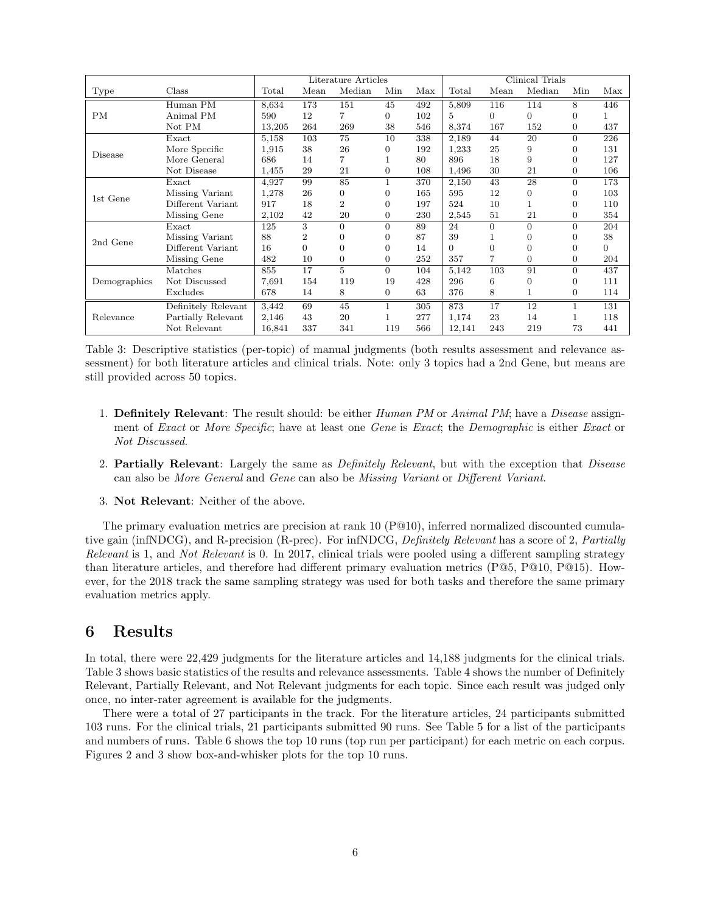|              |                       | Literature Articles |                |                |                | Clinical Trials |          |      |        |              |          |
|--------------|-----------------------|---------------------|----------------|----------------|----------------|-----------------|----------|------|--------|--------------|----------|
| Type         | Class                 | Total               | Mean           | Median         | Min            | Max             | Total    | Mean | Median | Min          | Max      |
|              | Human $\overline{PM}$ | 8,634               | 173            | 151            | 45             | 492             | 5,809    | 116  | 114    | 8            | 446      |
| PM           | Animal PM             | 590                 | 12             | 7              | 0              | 102             | 5        | 0    | 0      | $\Omega$     |          |
|              | Not PM                | 13,205              | 264            | 269            | 38             | 546             | 8,374    | 167  | 152    | $\Omega$     | 437      |
|              | Exact                 | 5,158               | 103            | 75             | 10             | 338             | 2,189    | 44   | 20     | $\Omega$     | 226      |
| Disease      | More Specific         | 1,915               | 38             | 26             | 0              | 192             | 1,233    | 25   | 9      | $\Omega$     | 131      |
|              | More General          | 686                 | 14             |                |                | 80              | 896      | 18   | 9      | $\Omega$     | 127      |
|              | Not Disease           | 1,455               | 29             | 21             | $\overline{0}$ | 108             | 1,496    | 30   | 21     | $\Omega$     | 106      |
|              | Exact                 | 4,927               | 99             | 85             | 1              | 370             | 2,150    | 43   | 28     | $\Omega$     | 173      |
|              | Missing Variant       | 1,278               | 26             | 0              | 0              | 165             | 595      | 12   | 0      | $\Omega$     | 103      |
| 1st Gene     | Different Variant     | 917                 | 18             | $\overline{2}$ | 0              | 197             | 524      | 10   |        | $\Omega$     | 110      |
|              | Missing Gene          | 2,102               | 42             | 20             | 0              | 230             | 2,545    | 51   | 21     | $\theta$     | 354      |
|              | Exact                 | 125                 | 3              | $\Omega$       | $\overline{0}$ | 89              | 24       | 0    | 0      | $\Omega$     | 204      |
|              | Missing Variant       | 88                  | $\overline{2}$ | $\Omega$       | 0              | 87              | 39       |      | 0      | $\Omega$     | 38       |
| 2nd Gene     | Different Variant     | 16                  | $\theta$       | $\Omega$       | $\Omega$       | 14              | $\Omega$ | 0    | 0      | $\Omega$     | $\Omega$ |
|              | Missing Gene          | 482                 | 10             | 0              | 0              | 252             | 357      |      | 0      | $\Omega$     | 204      |
| Demographics | Matches               | 855                 | 17             | 5              | $\Omega$       | 104             | 5,142    | 103  | 91     | $\Omega$     | 437      |
|              | Not Discussed         | 7,691               | 154            | 119            | 19             | 428             | 296      | 6    | 0      | $\Omega$     | 111      |
|              | Excludes              | 678                 | 14             | 8              | 0              | 63              | 376      | 8    |        | $\Omega$     | 114      |
| Relevance    | Definitely Relevant   | 3,442               | 69             | 45             | 1              | 305             | 873      | 17   | 12     | $\mathbf{1}$ | 131      |
|              | Partially Relevant    | 2,146               | 43             | 20             |                | 277             | 1,174    | 23   | 14     | 1            | 118      |
|              | Not Relevant          | 16,841              | 337            | 341            | 119            | 566             | 12,141   | 243  | 219    | 73           | 441      |

Table 3: Descriptive statistics (per-topic) of manual judgments (both results assessment and relevance assessment) for both literature articles and clinical trials. Note: only 3 topics had a 2nd Gene, but means are still provided across 50 topics.

- 1. **Definitely Relevant**: The result should: be either *Human PM* or *Animal PM*; have a *Disease* assignment of Exact or More Specific; have at least one Gene is Exact; the Demographic is either Exact or Not Discussed.
- 2. Partially Relevant: Largely the same as *Definitely Relevant*, but with the exception that *Disease* can also be More General and Gene can also be Missing Variant or Different Variant.
- 3. Not Relevant: Neither of the above.

The primary evaluation metrics are precision at rank 10 (P@10), inferred normalized discounted cumulative gain (infNDCG), and R-precision (R-prec). For infNDCG, Definitely Relevant has a score of 2, Partially Relevant is 1, and Not Relevant is 0. In 2017, clinical trials were pooled using a different sampling strategy than literature articles, and therefore had different primary evaluation metrics (P@5, P@10, P@15). However, for the 2018 track the same sampling strategy was used for both tasks and therefore the same primary evaluation metrics apply.

## 6 Results

In total, there were 22,429 judgments for the literature articles and 14,188 judgments for the clinical trials. Table 3 shows basic statistics of the results and relevance assessments. Table 4 shows the number of Definitely Relevant, Partially Relevant, and Not Relevant judgments for each topic. Since each result was judged only once, no inter-rater agreement is available for the judgments.

There were a total of 27 participants in the track. For the literature articles, 24 participants submitted 103 runs. For the clinical trials, 21 participants submitted 90 runs. See Table 5 for a list of the participants and numbers of runs. Table 6 shows the top 10 runs (top run per participant) for each metric on each corpus. Figures 2 and 3 show box-and-whisker plots for the top 10 runs.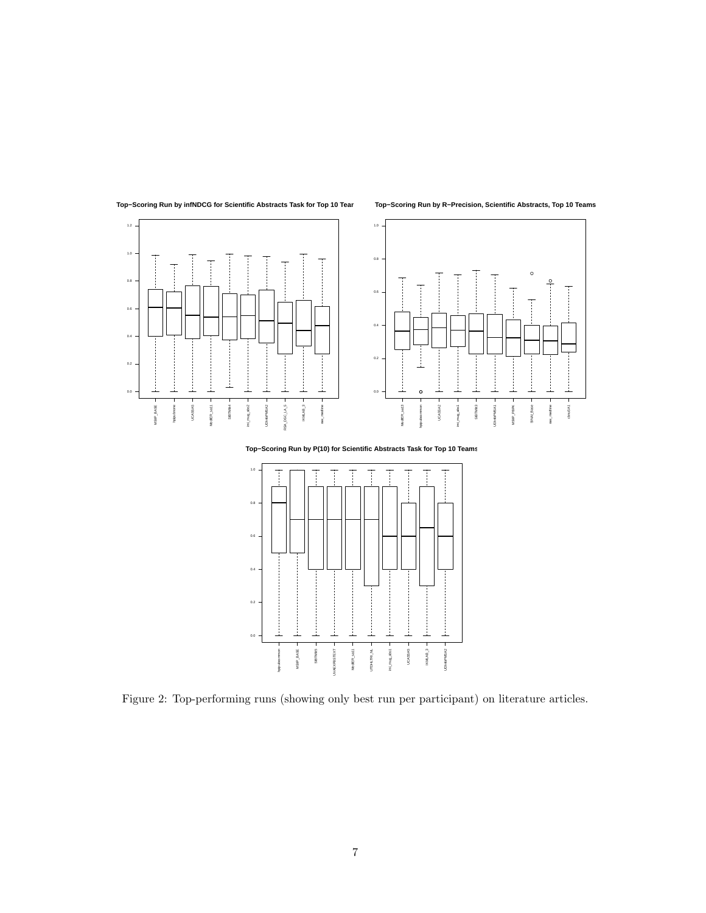

**Top−Scoring Run by infNDCG for Scientific Abstracts Task for Top 10 Teams**

**Top−Scoring Run by R−Precision, Scientific Abstracts, Top 10 Teams**



**Top−Scoring Run by P(10) for Scientific Abstracts Task for Top 10 Teams**



Figure 2: Top-performing runs (showing only best run per participant) on literature articles.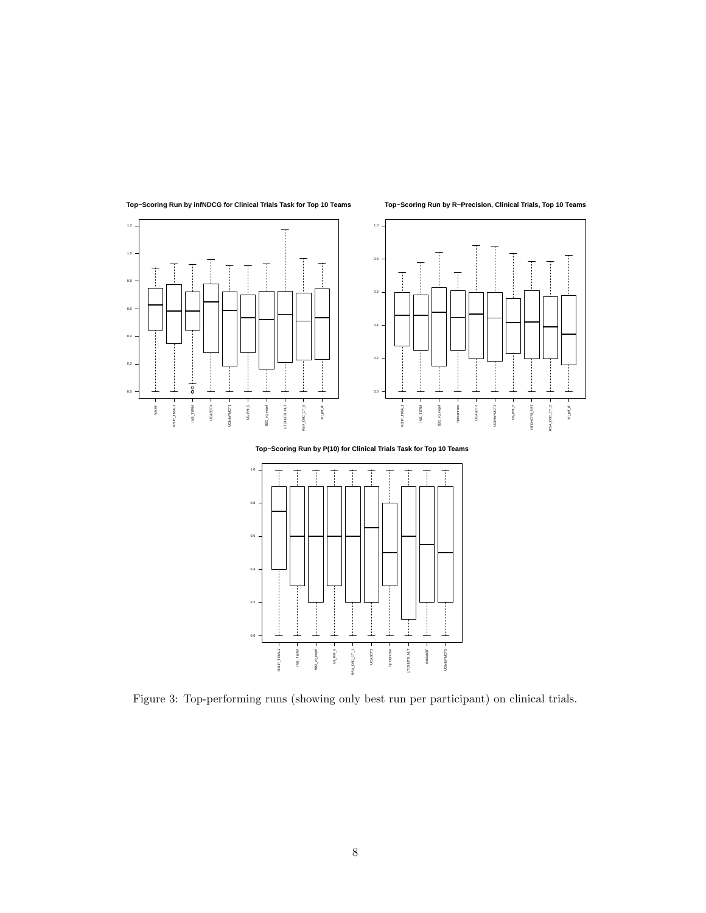

**Top−Scoring Run by infNDCG for Clinical Trials Task for Top 10 Teams**



**Top−Scoring Run by R−Precision, Clinical Trials, Top 10 Teams**

**Top−Scoring Run by P(10) for Clinical Trials Task for Top 10 Teams**



Figure 3: Top-performing runs (showing only best run per participant) on clinical trials.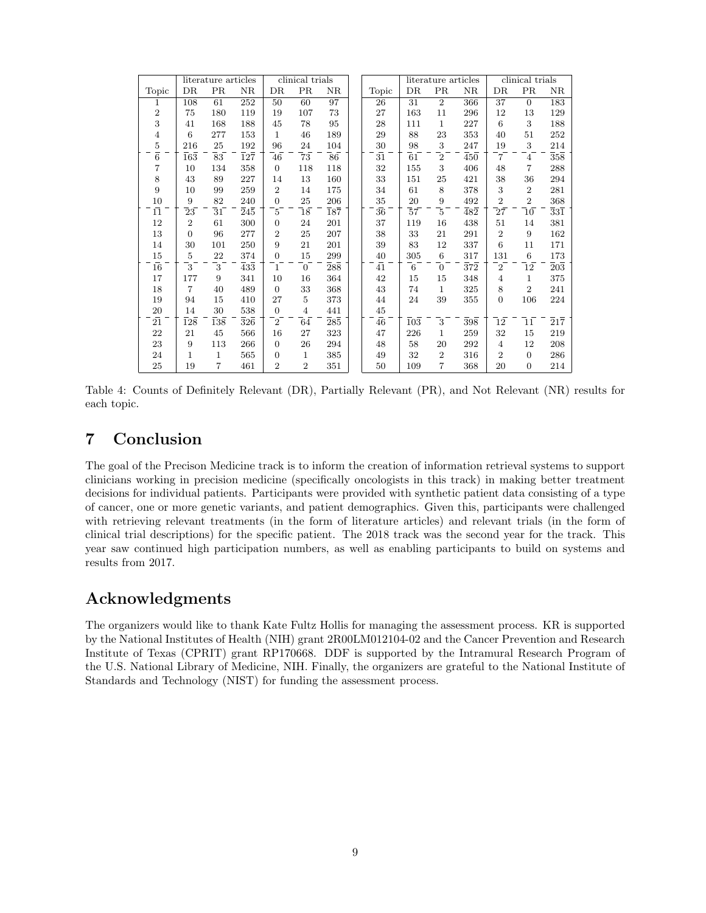|                |                  | literature articles |                   | clinical trials  |                  |                             | literature articles |     |                | clinical trials         |                            |                            |                             |
|----------------|------------------|---------------------|-------------------|------------------|------------------|-----------------------------|---------------------|-----|----------------|-------------------------|----------------------------|----------------------------|-----------------------------|
| Topic          | DR               | PR                  | NR                | DR               | PR               | NR                          | Topic               | DR  | PR             | NR                      | DR                         | PR                         | NR                          |
| 1              | 108              | 61                  | 252               | 50               | 60               | 97                          | 26                  | 31  | $\overline{2}$ | 366                     | 37                         | $\overline{0}$             | 183                         |
| $\overline{2}$ | 75               | 180                 | 119               | 19               | 107              | 73                          | 27                  | 163 | 11             | 296                     | 12                         | 13                         | 129                         |
| 3              | 41               | 168                 | 188               | 45               | 78               | 95                          | 28                  | 111 | $\mathbf{1}$   | 227                     | 6                          | 3                          | 188                         |
| $\overline{4}$ | 6                | 277                 | 153               | 1                | 46               | 189                         | 29                  | 88  | 23             | 353                     | 40                         | 51                         | 252                         |
| $\bf 5$        | 216              | 25                  | 192               | 96               | 24               | 104                         | 30                  | 98  | 3              | 247                     | 19                         | 3                          | 214                         |
| $\overline{6}$ | $\overline{163}$ | 83                  | $\bar{1}2\bar{7}$ | 46               | $\bar{7}\bar{3}$ | $\bar{8}\bar{6}$            | $\bar{31}$          | 61  | $\overline{2}$ | $\overline{450}$        | $\overline{7}$             | $\overline{4}$             | $\overline{3}5\overline{8}$ |
| 7              | 10               | 134                 | 358               | $\overline{0}$   | 118              | 118                         | 32                  | 155 | 3              | 406                     | 48                         | 7                          | 288                         |
| 8              | 43               | 89                  | 227               | 14               | 13               | 160                         | 33                  | 151 | 25             | 421                     | 38                         | 36                         | 294                         |
| 9              | 10               | 99                  | 259               | $\overline{2}$   | 14               | 175                         | 34                  | 61  | 8              | 378                     | 3                          | $\overline{2}$             | 281                         |
| $10\,$         | 9                | 82                  | 240               | $\overline{0}$   | 25               | 206                         | $35\,$              | 20  | 9              | 492                     | $\overline{2}$             | $\overline{2}$             | 368                         |
| $\bar{11}$     | 23               | 31                  | $\bar{2}4\bar{5}$ | 5                | $\overline{18}$  | $\overline{1}8\overline{7}$ | $\bar{36}$          | 57  | 5              | $\bar{4}8\bar{2}$       | $\overline{2}\overline{7}$ | $\overline{10}$            | $\overline{3}3\overline{1}$ |
| 12             | $\overline{2}$   | 61                  | 300               | $\overline{0}$   | 24               | 201                         | 37                  | 119 | 16             | 438                     | 51                         | 14                         | 381                         |
| 13             | $\overline{0}$   | 96                  | 277               | 2                | 25               | 207                         | 38                  | 33  | 21             | 291                     | $\mathbf{2}$               | 9                          | 162                         |
| 14             | 30               | 101                 | 250               | 9                | 21               | 201                         | 39                  | 83  | 12             | 337                     | 6                          | 11                         | 171                         |
| 15             | $\overline{5}$   | 22                  | 374               | $\boldsymbol{0}$ | 15               | 299                         | 40                  | 305 | 6              | 317                     | 131                        | $\,6\,$                    | 173                         |
| 16             | $\overline{3}$   | $\overline{3}$      | $\bar{4}3\bar{3}$ | $\mathbf{1}$     | $\overline{0}$   | $\overline{2}8\overline{8}$ | $\bar{41}$          | 6   | $\overline{0}$ | $\bar{3}\bar{7}\bar{2}$ | $\overline{2}$             | $\overline{1}\overline{2}$ | $\overline{2}0\overline{3}$ |
| 17             | 177              | 9                   | 341               | 10               | 16               | 364                         | 42                  | 15  | 15             | 348                     | $\overline{4}$             | $\mathbf 1$                | 375                         |
| 18             | $\overline{7}$   | 40                  | 489               | $\overline{0}$   | 33               | 368                         | 43                  | 74  | 1              | 325                     | 8                          | $\overline{2}$             | 241                         |
| 19             | 94               | 15                  | 410               | 27               | 5                | 373                         | 44                  | 24  | 39             | 355                     | $\overline{0}$             | 106                        | 224                         |
| 20             | 14               | 30                  | 538               | $\overline{0}$   | $\overline{4}$   | 441                         | 45                  |     |                |                         |                            |                            |                             |
| 21             | 128              | 138                 | 326               | $\overline{2}$   | 64               | 285                         | 46                  | 103 | 3              | 398                     | 12                         | 11                         | 217                         |
| 22             | 21               | 45                  | 566               | 16               | 27               | 323                         | 47                  | 226 | 1              | 259                     | 32                         | 15                         | 219                         |
| 23             | 9                | 113                 | 266               | $\overline{0}$   | 26               | 294                         | 48                  | 58  | 20             | 292                     | $\overline{4}$             | 12                         | 208                         |
| 24             | 1                | 1                   | 565               | $\boldsymbol{0}$ | $\mathbf{1}$     | 385                         | 49                  | 32  | $\overline{2}$ | 316                     | $\overline{2}$             | $\mathbf{0}$               | 286                         |
| 25             | 19               | $\overline{7}$      | 461               | $\overline{2}$   | $\overline{2}$   | 351                         | 50                  | 109 | $\overline{7}$ | 368                     | 20                         | $\overline{0}$             | 214                         |

Table 4: Counts of Definitely Relevant (DR), Partially Relevant (PR), and Not Relevant (NR) results for each topic.

## 7 Conclusion

The goal of the Precison Medicine track is to inform the creation of information retrieval systems to support clinicians working in precision medicine (specifically oncologists in this track) in making better treatment decisions for individual patients. Participants were provided with synthetic patient data consisting of a type of cancer, one or more genetic variants, and patient demographics. Given this, participants were challenged with retrieving relevant treatments (in the form of literature articles) and relevant trials (in the form of clinical trial descriptions) for the specific patient. The 2018 track was the second year for the track. This year saw continued high participation numbers, as well as enabling participants to build on systems and results from 2017.

## Acknowledgments

The organizers would like to thank Kate Fultz Hollis for managing the assessment process. KR is supported by the National Institutes of Health (NIH) grant 2R00LM012104-02 and the Cancer Prevention and Research Institute of Texas (CPRIT) grant RP170668. DDF is supported by the Intramural Research Program of the U.S. National Library of Medicine, NIH. Finally, the organizers are grateful to the National Institute of Standards and Technology (NIST) for funding the assessment process.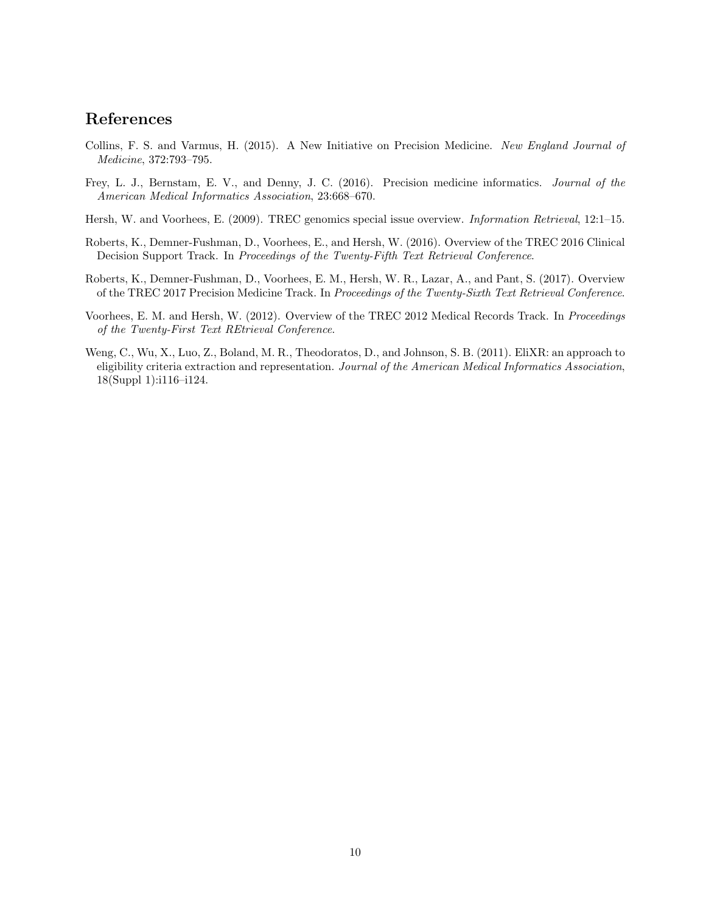## References

- Collins, F. S. and Varmus, H. (2015). A New Initiative on Precision Medicine. New England Journal of Medicine, 372:793–795.
- Frey, L. J., Bernstam, E. V., and Denny, J. C. (2016). Precision medicine informatics. Journal of the American Medical Informatics Association, 23:668–670.
- Hersh, W. and Voorhees, E. (2009). TREC genomics special issue overview. *Information Retrieval*, 12:1–15.
- Roberts, K., Demner-Fushman, D., Voorhees, E., and Hersh, W. (2016). Overview of the TREC 2016 Clinical Decision Support Track. In Proceedings of the Twenty-Fifth Text Retrieval Conference.
- Roberts, K., Demner-Fushman, D., Voorhees, E. M., Hersh, W. R., Lazar, A., and Pant, S. (2017). Overview of the TREC 2017 Precision Medicine Track. In Proceedings of the Twenty-Sixth Text Retrieval Conference.
- Voorhees, E. M. and Hersh, W. (2012). Overview of the TREC 2012 Medical Records Track. In Proceedings of the Twenty-First Text REtrieval Conference.
- Weng, C., Wu, X., Luo, Z., Boland, M. R., Theodoratos, D., and Johnson, S. B. (2011). EliXR: an approach to eligibility criteria extraction and representation. Journal of the American Medical Informatics Association, 18(Suppl 1):i116–i124.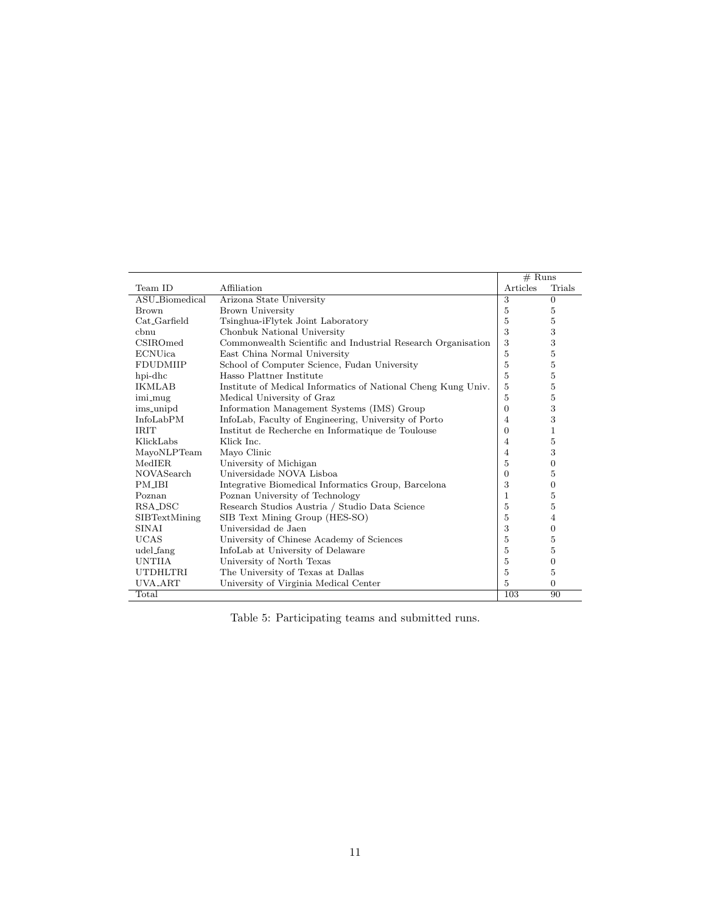|                   |                                                               |                | $#$ Runs         |  |
|-------------------|---------------------------------------------------------------|----------------|------------------|--|
| Team ID           | Affiliation                                                   | Articles       | Trials           |  |
| ASU_Biomedical    | Arizona State University                                      | 3              | $\overline{0}$   |  |
| <b>Brown</b>      | Brown University                                              | 5              | 5                |  |
| Cat Garfield      | Tsinghua-iFlytek Joint Laboratory                             | 5              | 5                |  |
| chnu              | Chonbuk National University                                   | 3              | 3                |  |
| CSIROmed          | Commonwealth Scientific and Industrial Research Organisation  | 3              | 3                |  |
| <b>ECNUica</b>    | East China Normal University                                  | 5              | $\overline{5}$   |  |
| <b>FDUDMIIP</b>   | School of Computer Science, Fudan University                  | 5              | 5                |  |
| hpi-dhc           | Hasso Plattner Institute                                      | 5              | 5                |  |
| <b>IKMLAB</b>     | Institute of Medical Informatics of National Cheng Kung Univ. | 5              | 5                |  |
| imi_mug           | Medical University of Graz                                    | 5              | $\bf 5$          |  |
| ims_unipd         | Information Management Systems (IMS) Group                    | 0              | 3                |  |
| InfoLabPM         | InfoLab, Faculty of Engineering, University of Porto          | $\overline{4}$ | 3                |  |
| <b>IRIT</b>       | Institut de Recherche en Informatique de Toulouse             | $\overline{0}$ | 1                |  |
| KlickLabs         | Klick Inc.                                                    | 4              | 5                |  |
| MayoNLPTeam       | Mayo Clinic                                                   | 4              | 3                |  |
| MedIER            | University of Michigan                                        | 5              | $\boldsymbol{0}$ |  |
| <b>NOVASearch</b> | Universidade NOVA Lisboa                                      | $\overline{0}$ | 5                |  |
| <b>PM IBI</b>     | Integrative Biomedical Informatics Group, Barcelona           | 3              | $\mathbf{0}$     |  |
| Poznan            | Poznan University of Technology                               | $\mathbf{1}$   | 5                |  |
| RSA_DSC           | Research Studios Austria / Studio Data Science                | 5              | 5                |  |
| SIBTextMining     | SIB Text Mining Group (HES-SO)                                | 5              | 4                |  |
| SINAI             | Universidad de Jaen                                           | 3              | $\theta$         |  |
| <b>UCAS</b>       | University of Chinese Academy of Sciences                     | 5              | 5                |  |
| udel_fang         | InfoLab at University of Delaware                             | 5              | 5                |  |
| <b>UNTIIA</b>     | University of North Texas                                     | 5              | $\mathbf{0}$     |  |
| <b>UTDHLTRI</b>   | The University of Texas at Dallas                             | 5              | 5                |  |
| UVA_ART           | University of Virginia Medical Center                         | 5              | $\mathbf{0}$     |  |
| Total             |                                                               | 103            | 90               |  |

Table 5: Participating teams and submitted runs.